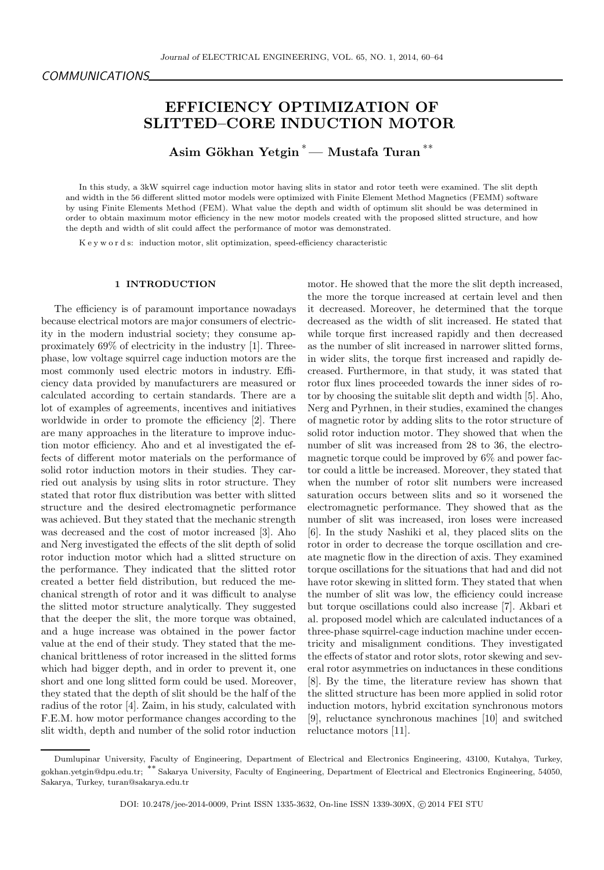# EFFICIENCY OPTIMIZATION OF SLITTED–CORE INDUCTION MOTOR

 $\mathrm{A}\mathrm{sim}\,$  Gökhan  $\mathrm{Yetgin}^*$ — Mustafa Turan $^{**}$ 

In this study, a 3kW squirrel cage induction motor having slits in stator and rotor teeth were examined. The slit depth and width in the 56 different slitted motor models were optimized with Finite Element Method Magnetics (FEMM) software by using Finite Elements Method (FEM). What value the depth and width of optimum slit should be was determined in order to obtain maximum motor efficiency in the new motor models created with the proposed slitted structure, and how the depth and width of slit could affect the performance of motor was demonstrated.

K e y w o r d s: induction motor, slit optimization, speed-efficiency characteristic

## 1 INTRODUCTION

The efficiency is of paramount importance nowadays because electrical motors are major consumers of electricity in the modern industrial society; they consume approximately 69% of electricity in the industry [1]. Threephase, low voltage squirrel cage induction motors are the most commonly used electric motors in industry. Efficiency data provided by manufacturers are measured or calculated according to certain standards. There are a lot of examples of agreements, incentives and initiatives worldwide in order to promote the efficiency [2]. There are many approaches in the literature to improve induction motor efficiency. Aho and et al investigated the effects of different motor materials on the performance of solid rotor induction motors in their studies. They carried out analysis by using slits in rotor structure. They stated that rotor flux distribution was better with slitted structure and the desired electromagnetic performance was achieved. But they stated that the mechanic strength was decreased and the cost of motor increased [3]. Aho and Nerg investigated the effects of the slit depth of solid rotor induction motor which had a slitted structure on the performance. They indicated that the slitted rotor created a better field distribution, but reduced the mechanical strength of rotor and it was difficult to analyse the slitted motor structure analytically. They suggested that the deeper the slit, the more torque was obtained, and a huge increase was obtained in the power factor value at the end of their study. They stated that the mechanical brittleness of rotor increased in the slitted forms which had bigger depth, and in order to prevent it, one short and one long slitted form could be used. Moreover, they stated that the depth of slit should be the half of the radius of the rotor [4]. Zaim, in his study, calculated with F.E.M. how motor performance changes according to the slit width, depth and number of the solid rotor induction motor. He showed that the more the slit depth increased, the more the torque increased at certain level and then it decreased. Moreover, he determined that the torque decreased as the width of slit increased. He stated that while torque first increased rapidly and then decreased as the number of slit increased in narrower slitted forms, in wider slits, the torque first increased and rapidly decreased. Furthermore, in that study, it was stated that rotor flux lines proceeded towards the inner sides of rotor by choosing the suitable slit depth and width [5]. Aho, Nerg and Pyrhnen, in their studies, examined the changes of magnetic rotor by adding slits to the rotor structure of solid rotor induction motor. They showed that when the number of slit was increased from 28 to 36, the electromagnetic torque could be improved by 6% and power factor could a little be increased. Moreover, they stated that when the number of rotor slit numbers were increased saturation occurs between slits and so it worsened the electromagnetic performance. They showed that as the number of slit was increased, iron loses were increased [6]. In the study Nashiki et al, they placed slits on the rotor in order to decrease the torque oscillation and create magnetic flow in the direction of axis. They examined torque oscillations for the situations that had and did not have rotor skewing in slitted form. They stated that when the number of slit was low, the efficiency could increase but torque oscillations could also increase [7]. Akbari et al. proposed model which are calculated inductances of a three-phase squirrel-cage induction machine under eccentricity and misalignment conditions. They investigated the effects of stator and rotor slots, rotor skewing and several rotor asymmetries on inductances in these conditions [8]. By the time, the literature review has shown that the slitted structure has been more applied in solid rotor induction motors, hybrid excitation synchronous motors [9], reluctance synchronous machines [10] and switched reluctance motors [11].

Dumlupinar University, Faculty of Engineering, Department of Electrical and Electronics Engineering, 43100, Kutahya, Turkey, gokhan.yetgin@dpu.edu.tr; ∗∗ Sakarya University, Faculty of Engineering, Department of Electrical and Electronics Engineering, 54050, Sakarya, Turkey, turan@sakarya.edu.tr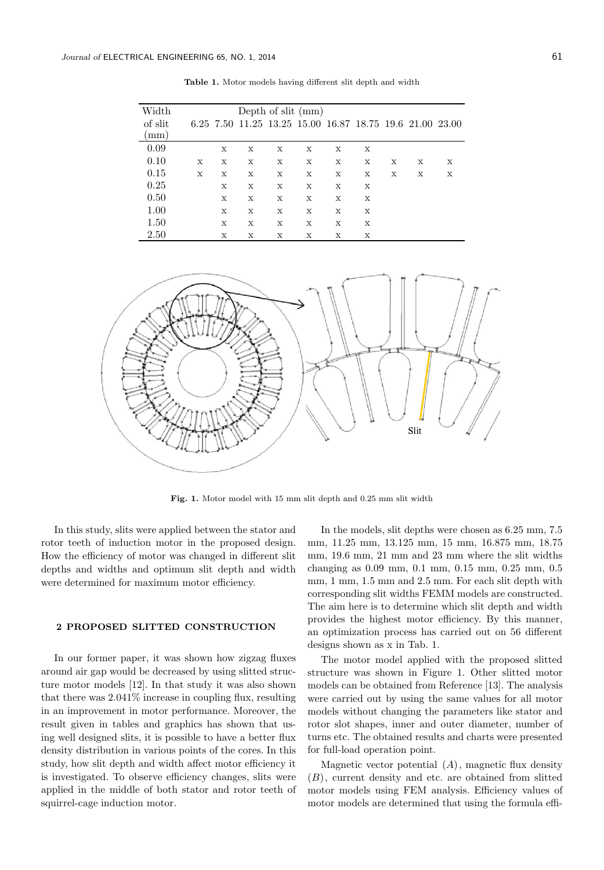| Width          | Depth of slit (mm) |              |                                                          |   |   |   |   |   |   |   |
|----------------|--------------------|--------------|----------------------------------------------------------|---|---|---|---|---|---|---|
| of slit        |                    |              | 6.25 7.50 11.25 13.25 15.00 16.87 18.75 19.6 21.00 23.00 |   |   |   |   |   |   |   |
| $\text{ (mm)}$ |                    |              |                                                          |   |   |   |   |   |   |   |
| 0.09           |                    | X            | X                                                        | X | X | X | X |   |   |   |
| 0.10           | X                  | X            | X                                                        | X | X | X | X | X | X | X |
| 0.15           | X                  | X            | X                                                        | X | X | X | X | X | X | X |
| 0.25           |                    | X            | X                                                        | X | X | X | X |   |   |   |
| 0.50           |                    | $\mathbf{x}$ | X                                                        | X | X | X | X |   |   |   |
| 1.00           |                    | X            | X                                                        | X | X | X | X |   |   |   |
| 1.50           |                    | X            | X                                                        | X | X | X | X |   |   |   |
| 2.50           |                    | X            | X                                                        | X | X | X | X |   |   |   |

Table 1. Motor models having different slit depth and width



Fig. 1. Motor model with 15 mm slit depth and 0.25 mm slit width

In this study, slits were applied between the stator and rotor teeth of induction motor in the proposed design. How the efficiency of motor was changed in different slit depths and widths and optimum slit depth and width were determined for maximum motor efficiency.

# 2 PROPOSED SLITTED CONSTRUCTION

In our former paper, it was shown how zigzag fluxes around air gap would be decreased by using slitted structure motor models [12]. In that study it was also shown that there was 2.041% increase in coupling flux, resulting in an improvement in motor performance. Moreover, the result given in tables and graphics has shown that using well designed slits, it is possible to have a better flux density distribution in various points of the cores. In this study, how slit depth and width affect motor efficiency it is investigated. To observe efficiency changes, slits were applied in the middle of both stator and rotor teeth of squirrel-cage induction motor.

In the models, slit depths were chosen as 6.25 mm, 7.5 mm, 11.25 mm, 13.125 mm, 15 mm, 16.875 mm, 18.75 mm, 19.6 mm, 21 mm and 23 mm where the slit widths changing as 0.09 mm, 0.1 mm, 0.15 mm, 0.25 mm, 0.5 mm, 1 mm, 1.5 mm and 2.5 mm. For each slit depth with corresponding slit widths FEMM models are constructed. The aim here is to determine which slit depth and width provides the highest motor efficiency. By this manner, an optimization process has carried out on 56 different designs shown as x in Tab. 1.

The motor model applied with the proposed slitted structure was shown in Figure 1. Other slitted motor models can be obtained from Reference [13]. The analysis were carried out by using the same values for all motor models without changing the parameters like stator and rotor slot shapes, inner and outer diameter, number of turns etc. The obtained results and charts were presented for full-load operation point.

Magnetic vector potential  $(A)$ , magnetic flux density (B), current density and etc. are obtained from slitted motor models using FEM analysis. Efficiency values of motor models are determined that using the formula effi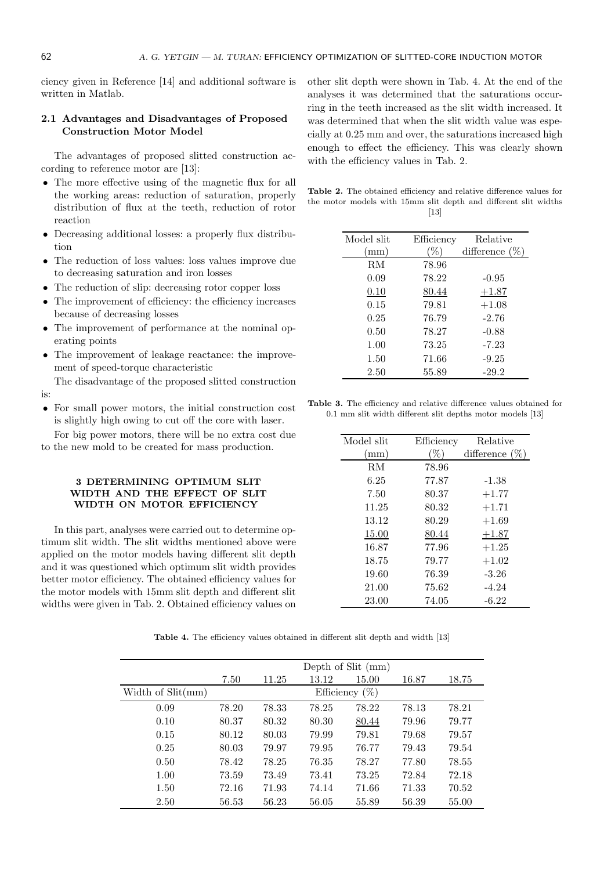ciency given in Reference [14] and additional software is written in Matlab.

# 2.1 Advantages and Disadvantages of Proposed Construction Motor Model

The advantages of proposed slitted construction according to reference motor are [13]:

- The more effective using of the magnetic flux for all the working areas: reduction of saturation, properly distribution of flux at the teeth, reduction of rotor reaction
- Decreasing additional losses: a properly flux distribution
- The reduction of loss values: loss values improve due to decreasing saturation and iron losses
- The reduction of slip: decreasing rotor copper loss
- The improvement of efficiency: the efficiency increases because of decreasing losses
- The improvement of performance at the nominal operating points
- The improvement of leakage reactance: the improvement of speed-torque characteristic

The disadvantage of the proposed slitted construction is:

• For small power motors, the initial construction cost is slightly high owing to cut off the core with laser.

For big power motors, there will be no extra cost due to the new mold to be created for mass production.

# 3 DETERMINING OPTIMUM SLIT WIDTH AND THE EFFECT OF SLIT WIDTH ON MOTOR EFFICIENCY

In this part, analyses were carried out to determine optimum slit width. The slit widths mentioned above were applied on the motor models having different slit depth and it was questioned which optimum slit width provides better motor efficiency. The obtained efficiency values for the motor models with 15mm slit depth and different slit widths were given in Tab. 2. Obtained efficiency values on other slit depth were shown in Tab. 4. At the end of the analyses it was determined that the saturations occurring in the teeth increased as the slit width increased. It was determined that when the slit width value was especially at 0.25 mm and over, the saturations increased high enough to effect the efficiency. This was clearly shown with the efficiency values in Tab. 2.

Table 2. The obtained efficiency and relative difference values for the motor models with 15mm slit depth and different slit widths [13]

| Model slit | Efficiency | Relative          |
|------------|------------|-------------------|
| $\pmod{m}$ |            | difference $(\%)$ |
| RM         | 78.96      |                   |
| 0.09       | 78.22      | $-0.95$           |
| 0.10       | 80.44      | $+1.87$           |
| 0.15       | 79.81      | $+1.08$           |
| 0.25       | 76.79      | $-2.76$           |
| 0.50       | 78.27      | $-0.88$           |
| 1.00       | 73.25      | $-7.23$           |
| 1.50       | 71.66      | $-9.25$           |
| 2.50       | 55.89      | $-29.2$           |

Table 3. The efficiency and relative difference values obtained for 0.1 mm slit width different slit depths motor models [13]

| Model slit | Efficiency | Relative         |
|------------|------------|------------------|
| $\text{m}$ | $\%$       | difference $(\%$ |
| RM         | 78.96      |                  |
| 6.25       | 77.87      | $-1.38$          |
| 7.50       | 80.37      | $+1.77$          |
| 11.25      | 80.32      | $+1.71$          |
| 13.12      | 80.29      | $+1.69$          |
| 15.00      | 80.44      | $+1.87$          |
| 16.87      | 77.96      | $+1.25$          |
| 18.75      | 79.77      | $+1.02$          |
| 19.60      | 76.39      | $-3.26$          |
| 21.00      | 75.62      | $-4.24$          |
| 23.00      | 74.05      | $-6.22$          |

Table 4. The efficiency values obtained in different slit depth and width [13]

|                     | Depth of Slit (mm) |       |       |       |       |       |  |
|---------------------|--------------------|-------|-------|-------|-------|-------|--|
|                     | 7.50               | 11.25 | 13.12 | 15.00 | 16.87 | 18.75 |  |
| Width of $Slit(mm)$ | Efficiency $(\%)$  |       |       |       |       |       |  |
| 0.09                | 78.20              | 78.33 | 78.25 | 78.22 | 78.13 | 78.21 |  |
| 0.10                | 80.37              | 80.32 | 80.30 | 80.44 | 79.96 | 79.77 |  |
| 0.15                | 80.12              | 80.03 | 79.99 | 79.81 | 79.68 | 79.57 |  |
| 0.25                | 80.03              | 79.97 | 79.95 | 76.77 | 79.43 | 79.54 |  |
| 0.50                | 78.42              | 78.25 | 76.35 | 78.27 | 77.80 | 78.55 |  |
| 1.00                | 73.59              | 73.49 | 73.41 | 73.25 | 72.84 | 72.18 |  |
| 1.50                | 72.16              | 71.93 | 74.14 | 71.66 | 71.33 | 70.52 |  |
| 2.50                | 56.53              | 56.23 | 56.05 | 55.89 | 56.39 | 55.00 |  |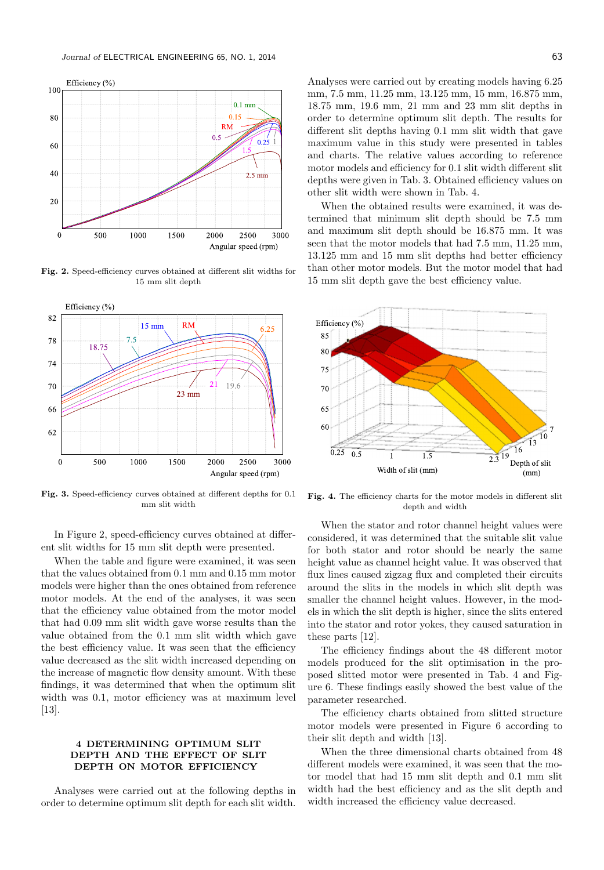

Fig. 2. Speed-efficiency curves obtained at different slit widths for 15 mm slit depth



Fig. 3. Speed-efficiency curves obtained at different depths for 0.1 mm slit width

In Figure 2, speed-efficiency curves obtained at different slit widths for 15 mm slit depth were presented.

When the table and figure were examined, it was seen that the values obtained from 0.1 mm and 0.15 mm motor models were higher than the ones obtained from reference motor models. At the end of the analyses, it was seen that the efficiency value obtained from the motor model that had 0.09 mm slit width gave worse results than the value obtained from the 0.1 mm slit width which gave the best efficiency value. It was seen that the efficiency value decreased as the slit width increased depending on the increase of magnetic flow density amount. With these findings, it was determined that when the optimum slit width was 0.1, motor efficiency was at maximum level [13].

## 4 DETERMINING OPTIMUM SLIT DEPTH AND THE EFFECT OF SLIT DEPTH ON MOTOR EFFICIENCY

Analyses were carried out at the following depths in order to determine optimum slit depth for each slit width.

Analyses were carried out by creating models having 6.25 mm, 7.5 mm, 11.25 mm, 13.125 mm, 15 mm, 16.875 mm, 18.75 mm, 19.6 mm, 21 mm and 23 mm slit depths in order to determine optimum slit depth. The results for different slit depths having 0.1 mm slit width that gave maximum value in this study were presented in tables and charts. The relative values according to reference motor models and efficiency for 0.1 slit width different slit depths were given in Tab. 3. Obtained efficiency values on other slit width were shown in Tab. 4.

When the obtained results were examined, it was determined that minimum slit depth should be 7.5 mm and maximum slit depth should be 16.875 mm. It was seen that the motor models that had 7.5 mm, 11.25 mm, 13.125 mm and 15 mm slit depths had better efficiency than other motor models. But the motor model that had 15 mm slit depth gave the best efficiency value.



Fig. 4. The efficiency charts for the motor models in different slit depth and width

When the stator and rotor channel height values were considered, it was determined that the suitable slit value for both stator and rotor should be nearly the same height value as channel height value. It was observed that flux lines caused zigzag flux and completed their circuits around the slits in the models in which slit depth was smaller the channel height values. However, in the models in which the slit depth is higher, since the slits entered into the stator and rotor yokes, they caused saturation in these parts [12].

The efficiency findings about the 48 different motor models produced for the slit optimisation in the proposed slitted motor were presented in Tab. 4 and Figure 6. These findings easily showed the best value of the parameter researched.

The efficiency charts obtained from slitted structure motor models were presented in Figure 6 according to their slit depth and width [13].

When the three dimensional charts obtained from 48 different models were examined, it was seen that the motor model that had 15 mm slit depth and 0.1 mm slit width had the best efficiency and as the slit depth and width increased the efficiency value decreased.